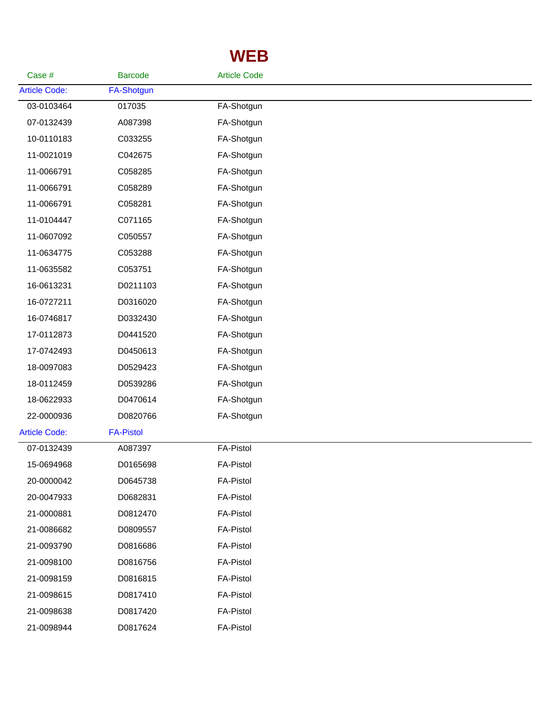## **WEB**

| Case #               | <b>Barcode</b>    | <b>Article Code</b> |  |
|----------------------|-------------------|---------------------|--|
| <b>Article Code:</b> | <b>FA-Shotgun</b> |                     |  |
| 03-0103464           | 017035            | FA-Shotgun          |  |
| 07-0132439           | A087398           | FA-Shotgun          |  |
| 10-0110183           | C033255           | FA-Shotgun          |  |
| 11-0021019           | C042675           | FA-Shotgun          |  |
| 11-0066791           | C058285           | FA-Shotgun          |  |
| 11-0066791           | C058289           | FA-Shotgun          |  |
| 11-0066791           | C058281           | FA-Shotgun          |  |
| 11-0104447           | C071165           | FA-Shotgun          |  |
| 11-0607092           | C050557           | FA-Shotgun          |  |
| 11-0634775           | C053288           | FA-Shotgun          |  |
| 11-0635582           | C053751           | FA-Shotgun          |  |
| 16-0613231           | D0211103          | FA-Shotgun          |  |
| 16-0727211           | D0316020          | FA-Shotgun          |  |
| 16-0746817           | D0332430          | FA-Shotgun          |  |
| 17-0112873           | D0441520          | FA-Shotgun          |  |
| 17-0742493           | D0450613          | FA-Shotgun          |  |
| 18-0097083           | D0529423          | FA-Shotgun          |  |
| 18-0112459           | D0539286          | FA-Shotgun          |  |
| 18-0622933           | D0470614          | FA-Shotgun          |  |
| 22-0000936           | D0820766          | FA-Shotgun          |  |
| <b>Article Code:</b> | <b>FA-Pistol</b>  |                     |  |
| 07-0132439           | A087397           | <b>FA-Pistol</b>    |  |
| 15-0694968           | D0165698          | <b>FA-Pistol</b>    |  |
| 20-0000042           | D0645738          | <b>FA-Pistol</b>    |  |
| 20-0047933           | D0682831          | <b>FA-Pistol</b>    |  |
| 21-0000881           | D0812470          | <b>FA-Pistol</b>    |  |
| 21-0086682           | D0809557          | <b>FA-Pistol</b>    |  |
| 21-0093790           | D0816686          | <b>FA-Pistol</b>    |  |
| 21-0098100           | D0816756          | <b>FA-Pistol</b>    |  |
| 21-0098159           | D0816815          | <b>FA-Pistol</b>    |  |
| 21-0098615           | D0817410          | <b>FA-Pistol</b>    |  |
| 21-0098638           | D0817420          | <b>FA-Pistol</b>    |  |
| 21-0098944           | D0817624          | <b>FA-Pistol</b>    |  |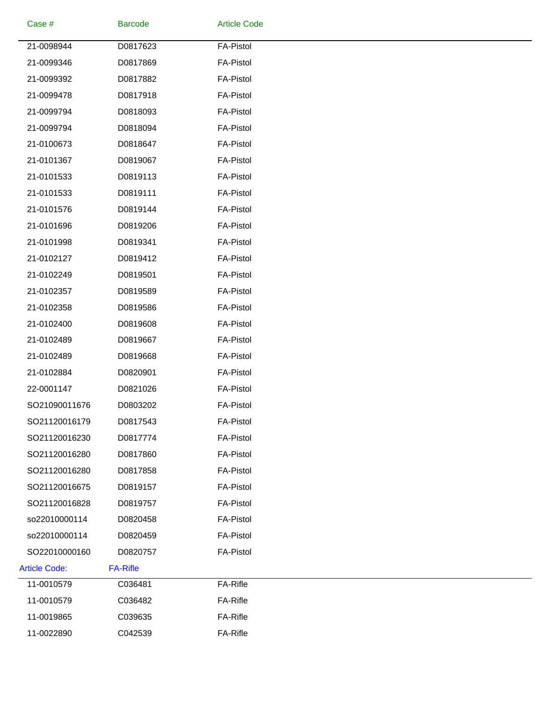| Case #               | <b>Barcode</b>  | <b>Article Code</b> |  |
|----------------------|-----------------|---------------------|--|
| 21-0098944           | D0817623        | <b>FA-Pistol</b>    |  |
| 21-0099346           | D0817869        | <b>FA-Pistol</b>    |  |
| 21-0099392           | D0817882        | <b>FA-Pistol</b>    |  |
| 21-0099478           | D0817918        | <b>FA-Pistol</b>    |  |
| 21-0099794           | D0818093        | <b>FA-Pistol</b>    |  |
| 21-0099794           | D0818094        | <b>FA-Pistol</b>    |  |
| 21-0100673           | D0818647        | <b>FA-Pistol</b>    |  |
| 21-0101367           | D0819067        | <b>FA-Pistol</b>    |  |
| 21-0101533           | D0819113        | <b>FA-Pistol</b>    |  |
| 21-0101533           | D0819111        | <b>FA-Pistol</b>    |  |
| 21-0101576           | D0819144        | <b>FA-Pistol</b>    |  |
| 21-0101696           | D0819206        | <b>FA-Pistol</b>    |  |
| 21-0101998           | D0819341        | <b>FA-Pistol</b>    |  |
| 21-0102127           | D0819412        | <b>FA-Pistol</b>    |  |
| 21-0102249           | D0819501        | <b>FA-Pistol</b>    |  |
| 21-0102357           | D0819589        | <b>FA-Pistol</b>    |  |
| 21-0102358           | D0819586        | <b>FA-Pistol</b>    |  |
| 21-0102400           | D0819608        | <b>FA-Pistol</b>    |  |
| 21-0102489           | D0819667        | <b>FA-Pistol</b>    |  |
| 21-0102489           | D0819668        | <b>FA-Pistol</b>    |  |
| 21-0102884           | D0820901        | <b>FA-Pistol</b>    |  |
| 22-0001147           | D0821026        | <b>FA-Pistol</b>    |  |
| SO21090011676        | D0803202        | <b>FA-Pistol</b>    |  |
| SO21120016179        | D0817543        | <b>FA-Pistol</b>    |  |
| SO21120016230        | D0817774        | <b>FA-Pistol</b>    |  |
| SO21120016280        | D0817860        | <b>FA-Pistol</b>    |  |
| SO21120016280        | D0817858        | <b>FA-Pistol</b>    |  |
| SO21120016675        | D0819157        | <b>FA-Pistol</b>    |  |
| SO21120016828        | D0819757        | <b>FA-Pistol</b>    |  |
| so22010000114        | D0820458        | <b>FA-Pistol</b>    |  |
| so22010000114        | D0820459        | <b>FA-Pistol</b>    |  |
| SO22010000160        | D0820757        | <b>FA-Pistol</b>    |  |
| <b>Article Code:</b> | <b>FA-Rifle</b> |                     |  |
| 11-0010579           | C036481         | FA-Rifle            |  |
| 11-0010579           | C036482         | FA-Rifle            |  |
| 11-0019865           | C039635         | FA-Rifle            |  |
| 11-0022890           | C042539         | FA-Rifle            |  |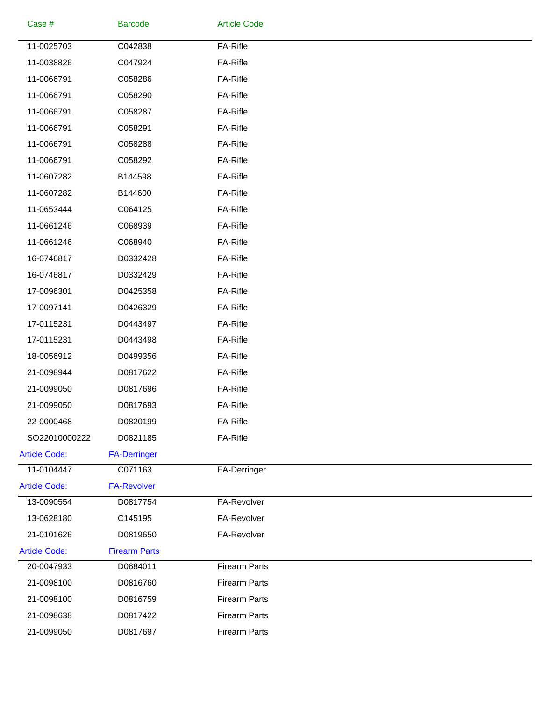| Case #               | <b>Barcode</b>       | <b>Article Code</b>  |
|----------------------|----------------------|----------------------|
| 11-0025703           | C042838              | FA-Rifle             |
| 11-0038826           | C047924              | FA-Rifle             |
| 11-0066791           | C058286              | FA-Rifle             |
| 11-0066791           | C058290              | FA-Rifle             |
| 11-0066791           | C058287              | FA-Rifle             |
| 11-0066791           | C058291              | FA-Rifle             |
| 11-0066791           | C058288              | FA-Rifle             |
| 11-0066791           | C058292              | FA-Rifle             |
| 11-0607282           | B144598              | FA-Rifle             |
| 11-0607282           | B144600              | FA-Rifle             |
| 11-0653444           | C064125              | FA-Rifle             |
| 11-0661246           | C068939              | FA-Rifle             |
| 11-0661246           | C068940              | FA-Rifle             |
| 16-0746817           | D0332428             | FA-Rifle             |
| 16-0746817           | D0332429             | FA-Rifle             |
| 17-0096301           | D0425358             | FA-Rifle             |
| 17-0097141           | D0426329             | FA-Rifle             |
| 17-0115231           | D0443497             | FA-Rifle             |
| 17-0115231           | D0443498             | FA-Rifle             |
| 18-0056912           | D0499356             | FA-Rifle             |
| 21-0098944           | D0817622             | FA-Rifle             |
| 21-0099050           | D0817696             | FA-Rifle             |
| 21-0099050           | D0817693             | FA-Rifle             |
| 22-0000468           | D0820199             | FA-Rifle             |
| SO22010000222        | D0821185             | FA-Rifle             |
| <b>Article Code:</b> | <b>FA-Derringer</b>  |                      |
| 11-0104447           | C071163              | FA-Derringer         |
| <b>Article Code:</b> | <b>FA-Revolver</b>   |                      |
| 13-0090554           | D0817754             | FA-Revolver          |
| 13-0628180           | C145195              | FA-Revolver          |
| 21-0101626           | D0819650             | FA-Revolver          |
| <b>Article Code:</b> | <b>Firearm Parts</b> |                      |
| 20-0047933           | D0684011             | <b>Firearm Parts</b> |
| 21-0098100           | D0816760             | <b>Firearm Parts</b> |
| 21-0098100           | D0816759             | <b>Firearm Parts</b> |
| 21-0098638           | D0817422             | <b>Firearm Parts</b> |
| 21-0099050           | D0817697             | <b>Firearm Parts</b> |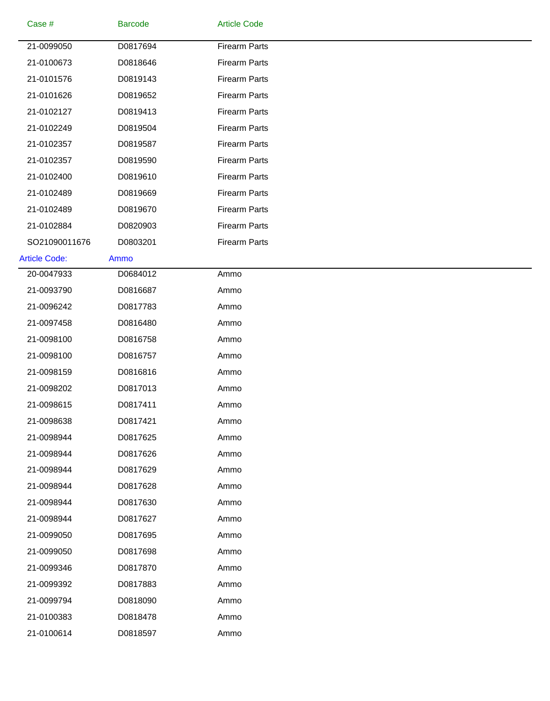| Case #               | <b>Barcode</b> | <b>Article Code</b>  |  |
|----------------------|----------------|----------------------|--|
| 21-0099050           | D0817694       | <b>Firearm Parts</b> |  |
| 21-0100673           | D0818646       | <b>Firearm Parts</b> |  |
| 21-0101576           | D0819143       | <b>Firearm Parts</b> |  |
| 21-0101626           | D0819652       | <b>Firearm Parts</b> |  |
| 21-0102127           | D0819413       | <b>Firearm Parts</b> |  |
| 21-0102249           | D0819504       | <b>Firearm Parts</b> |  |
| 21-0102357           | D0819587       | <b>Firearm Parts</b> |  |
| 21-0102357           | D0819590       | <b>Firearm Parts</b> |  |
| 21-0102400           | D0819610       | <b>Firearm Parts</b> |  |
| 21-0102489           | D0819669       | <b>Firearm Parts</b> |  |
| 21-0102489           | D0819670       | <b>Firearm Parts</b> |  |
| 21-0102884           | D0820903       | <b>Firearm Parts</b> |  |
| SO21090011676        | D0803201       | <b>Firearm Parts</b> |  |
| <b>Article Code:</b> | Ammo           |                      |  |
| 20-0047933           | D0684012       | Ammo                 |  |
| 21-0093790           | D0816687       | Ammo                 |  |
| 21-0096242           | D0817783       | Ammo                 |  |
| 21-0097458           | D0816480       | Ammo                 |  |
| 21-0098100           | D0816758       | Ammo                 |  |
| 21-0098100           | D0816757       | Ammo                 |  |
| 21-0098159           | D0816816       | Ammo                 |  |
| 21-0098202           | D0817013       | Ammo                 |  |
| 21-0098615           | D0817411       | Ammo                 |  |
| 21-0098638           | D0817421       | Ammo                 |  |
| 21-0098944           | D0817625       | Ammo                 |  |
| 21-0098944           | D0817626       | Ammo                 |  |
| 21-0098944           | D0817629       | Ammo                 |  |
| 21-0098944           | D0817628       | Ammo                 |  |
| 21-0098944           | D0817630       | Ammo                 |  |
| 21-0098944           | D0817627       | Ammo                 |  |
| 21-0099050           | D0817695       | Ammo                 |  |
| 21-0099050           | D0817698       | Ammo                 |  |
| 21-0099346           | D0817870       | Ammo                 |  |
| 21-0099392           | D0817883       | Ammo                 |  |
| 21-0099794           | D0818090       | Ammo                 |  |
| 21-0100383           | D0818478       | Ammo                 |  |
| 21-0100614           | D0818597       | Ammo                 |  |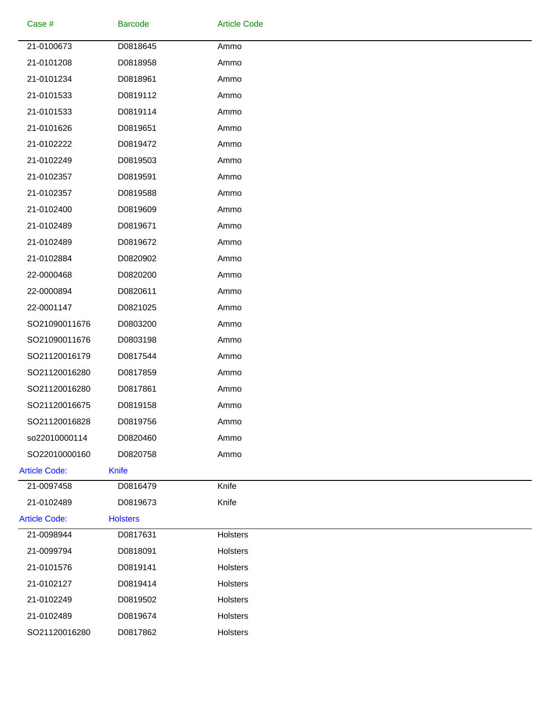| Case #               | <b>Barcode</b>  | <b>Article Code</b> |  |
|----------------------|-----------------|---------------------|--|
| 21-0100673           | D0818645        | Ammo                |  |
| 21-0101208           | D0818958        | Ammo                |  |
| 21-0101234           | D0818961        | Ammo                |  |
| 21-0101533           | D0819112        | Ammo                |  |
| 21-0101533           | D0819114        | Ammo                |  |
| 21-0101626           | D0819651        | Ammo                |  |
| 21-0102222           | D0819472        | Ammo                |  |
| 21-0102249           | D0819503        | Ammo                |  |
| 21-0102357           | D0819591        | Ammo                |  |
| 21-0102357           | D0819588        | Ammo                |  |
| 21-0102400           | D0819609        | Ammo                |  |
| 21-0102489           | D0819671        | Ammo                |  |
| 21-0102489           | D0819672        | Ammo                |  |
| 21-0102884           | D0820902        | Ammo                |  |
| 22-0000468           | D0820200        | Ammo                |  |
| 22-0000894           | D0820611        | Ammo                |  |
| 22-0001147           | D0821025        | Ammo                |  |
| SO21090011676        | D0803200        | Ammo                |  |
| SO21090011676        | D0803198        | Ammo                |  |
| SO21120016179        | D0817544        | Ammo                |  |
| SO21120016280        | D0817859        | Ammo                |  |
| SO21120016280        | D0817861        | Ammo                |  |
| SO21120016675        | D0819158        | Ammo                |  |
| SO21120016828        | D0819756        | Ammo                |  |
| so22010000114        | D0820460        | Ammo                |  |
| SO22010000160        | D0820758        | Ammo                |  |
| <b>Article Code:</b> | <b>Knife</b>    |                     |  |
| 21-0097458           | D0816479        | Knife               |  |
| 21-0102489           | D0819673        | Knife               |  |
| <b>Article Code:</b> | <b>Holsters</b> |                     |  |
| 21-0098944           | D0817631        | Holsters            |  |
| 21-0099794           | D0818091        | Holsters            |  |
| 21-0101576           | D0819141        | Holsters            |  |
| 21-0102127           | D0819414        | Holsters            |  |
| 21-0102249           | D0819502        | Holsters            |  |
| 21-0102489           | D0819674        | Holsters            |  |
| SO21120016280        | D0817862        | Holsters            |  |